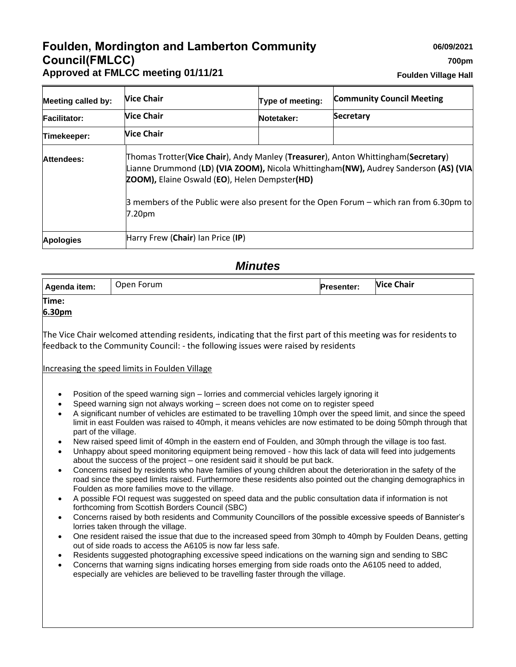# **Foulden, Mordington and Lamberton Community Council(FMLCC) Approved at FMLCC meeting 01/11/21**

**Foulden Village Hall**

| <b>Meeting called by:</b> | <b>Nice Chair</b>                 | Type of meeting:                                                                                                                                                                                                                                                                                                            | <b>Community Council Meeting</b> |  |
|---------------------------|-----------------------------------|-----------------------------------------------------------------------------------------------------------------------------------------------------------------------------------------------------------------------------------------------------------------------------------------------------------------------------|----------------------------------|--|
| <b>Facilitator:</b>       | <b>Nice Chair</b>                 | Notetaker:                                                                                                                                                                                                                                                                                                                  | <b>Secretary</b>                 |  |
| Timekeeper:               | <b>Nice Chair</b>                 |                                                                                                                                                                                                                                                                                                                             |                                  |  |
| Attendees:                | 7.20pm                            | Thomas Trotter(Vice Chair), Andy Manley (Treasurer), Anton Whittingham(Secretary)<br>Lianne Drummond (LD) (VIA ZOOM), Nicola Whittingham(NW), Audrey Sanderson (AS) (VIA<br><b>ZOOM), Elaine Oswald (EO), Helen Dempster(HD)</b><br>3 members of the Public were also present for the Open Forum - which ran from 6.30pm to |                                  |  |
| <b>Apologies</b>          | Harry Frew (Chair) Ian Price (IP) |                                                                                                                                                                                                                                                                                                                             |                                  |  |

# *Minutes*

| Agenda item: | Open Forum | <b>Presenter:</b> | <b>Vice Chair</b> |
|--------------|------------|-------------------|-------------------|
| Time:        |            |                   |                   |

## **6.30pm**

The Vice Chair welcomed attending residents, indicating that the first part of this meeting was for residents to feedback to the Community Council: - the following issues were raised by residents

#### Increasing the speed limits in Foulden Village

- Position of the speed warning sign lorries and commercial vehicles largely ignoring it
- Speed warning sign not always working screen does not come on to register speed
- A significant number of vehicles are estimated to be travelling 10mph over the speed limit, and since the speed limit in east Foulden was raised to 40mph, it means vehicles are now estimated to be doing 50mph through that part of the village.
- New raised speed limit of 40mph in the eastern end of Foulden, and 30mph through the village is too fast.
- Unhappy about speed monitoring equipment being removed how this lack of data will feed into judgements about the success of the project – one resident said it should be put back.
- Concerns raised by residents who have families of young children about the deterioration in the safety of the road since the speed limits raised. Furthermore these residents also pointed out the changing demographics in Foulden as more families move to the village.
- A possible FOI request was suggested on speed data and the public consultation data if information is not forthcoming from Scottish Borders Council (SBC)
- Concerns raised by both residents and Community Councillors of the possible excessive speeds of Bannister's lorries taken through the village.
- One resident raised the issue that due to the increased speed from 30mph to 40mph by Foulden Deans, getting out of side roads to access the A6105 is now far less safe.
- Residents suggested photographing excessive speed indications on the warning sign and sending to SBC
- Concerns that warning signs indicating horses emerging from side roads onto the A6105 need to added, especially are vehicles are believed to be travelling faster through the village.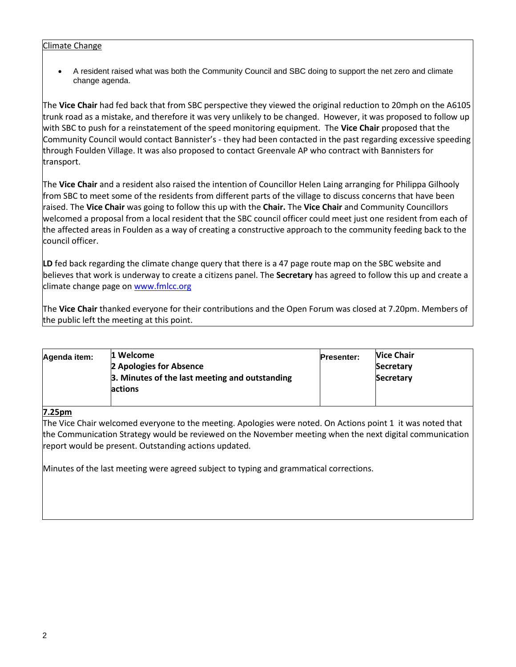#### Climate Change

• A resident raised what was both the Community Council and SBC doing to support the net zero and climate change agenda.

The **Vice Chair** had fed back that from SBC perspective they viewed the original reduction to 20mph on the A6105 trunk road as a mistake, and therefore it was very unlikely to be changed. However, it was proposed to follow up with SBC to push for a reinstatement of the speed monitoring equipment. The **Vice Chair** proposed that the Community Council would contact Bannister's - they had been contacted in the past regarding excessive speeding through Foulden Village. It was also proposed to contact Greenvale AP who contract with Bannisters for transport.

The **Vice Chair** and a resident also raised the intention of Councillor Helen Laing arranging for Philippa Gilhooly from SBC to meet some of the residents from different parts of the village to discuss concerns that have been raised. The **Vice Chair** was going to follow this up with the **Chair.** The **Vice Chair** and Community Councillors welcomed a proposal from a local resident that the SBC council officer could meet just one resident from each of the affected areas in Foulden as a way of creating a constructive approach to the community feeding back to the council officer.

LD fed back regarding the climate change query that there is a 47 page route map on the SBC website and believes that work is underway to create a citizens panel. The **Secretary** has agreed to follow this up and create a climate change page on [www.fmlcc.org](http://www.fmlcc.org/)

The **Vice Chair** thanked everyone for their contributions and the Open Forum was closed at 7.20pm. Members of the public left the meeting at this point.

| Agenda item: | 1 Welcome<br>2 Apologies for Absence           | <b>Presenter:</b> | <b>Nice Chair</b><br><b>Secretary</b> |
|--------------|------------------------------------------------|-------------------|---------------------------------------|
|              | 3. Minutes of the last meeting and outstanding |                   | <b>Secretary</b>                      |
|              | actions                                        |                   |                                       |
|              |                                                |                   |                                       |

#### **7.25pm**

The Vice Chair welcomed everyone to the meeting. Apologies were noted. On Actions point 1 it was noted that the Communication Strategy would be reviewed on the November meeting when the next digital communication report would be present. Outstanding actions updated.

Minutes of the last meeting were agreed subject to typing and grammatical corrections.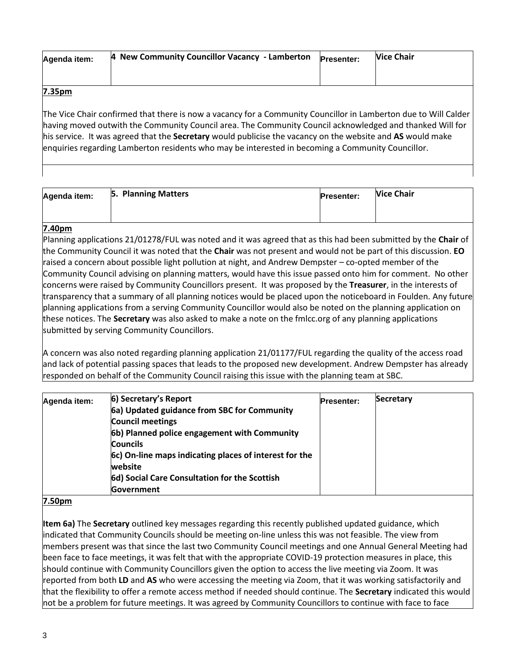| Agenda item: | 4 New Community Councillor Vacancy - Lamberton | <b>Presenter:</b> | <b>Nice Chair</b> |
|--------------|------------------------------------------------|-------------------|-------------------|
|              |                                                |                   |                   |

#### **7.35pm**

The Vice Chair confirmed that there is now a vacancy for a Community Councillor in Lamberton due to Will Calder having moved outwith the Community Council area. The Community Council acknowledged and thanked Will for his service. It was agreed that the **Secretary** would publicise the vacancy on the website and **AS** would make enquiries regarding Lamberton residents who may be interested in becoming a Community Councillor.

| Agenda item: | 5. Planning Matters | <b>Presenter:</b> | <b>Vice Chair</b> |
|--------------|---------------------|-------------------|-------------------|
|              |                     |                   |                   |

## **7.40pm**

Planning applications 21/01278/FUL was noted and it was agreed that as this had been submitted by the **Chair** of the Community Council it was noted that the **Chair** was not present and would not be part of this discussion. **EO** raised a concern about possible light pollution at night, and Andrew Dempster – co-opted member of the Community Council advising on planning matters, would have this issue passed onto him for comment. No other concerns were raised by Community Councillors present. It was proposed by the **Treasurer**, in the interests of transparency that a summary of all planning notices would be placed upon the noticeboard in Foulden. Any future planning applications from a serving Community Councillor would also be noted on the planning application on these notices. The **Secretary** was also asked to make a note on the fmlcc.org of any planning applications submitted by serving Community Councillors.

A concern was also noted regarding planning application 21/01177/FUL regarding the quality of the access road and lack of potential passing spaces that leads to the proposed new development. Andrew Dempster has already responded on behalf of the Community Council raising this issue with the planning team at SBC.

| Agenda item: | 6) Secretary's Report                                  | <b>Presenter:</b> | <b>Secretary</b> |
|--------------|--------------------------------------------------------|-------------------|------------------|
|              | 6a) Updated guidance from SBC for Community            |                   |                  |
|              | <b>Council meetings</b>                                |                   |                  |
|              | 6b) Planned police engagement with Community           |                   |                  |
|              | <b>Councils</b>                                        |                   |                  |
|              | 6c) On-line maps indicating places of interest for the |                   |                  |
|              | website                                                |                   |                  |
|              | 6d) Social Care Consultation for the Scottish          |                   |                  |
|              | <b>Government</b>                                      |                   |                  |

## **7.50pm**

**Item 6a)** The **Secretary** outlined key messages regarding this recently published updated guidance, which indicated that Community Councils should be meeting on-line unless this was not feasible. The view from members present was that since the last two Community Council meetings and one Annual General Meeting had been face to face meetings, it was felt that with the appropriate COVID-19 protection measures in place, this should continue with Community Councillors given the option to access the live meeting via Zoom. It was reported from both **LD** and **AS** who were accessing the meeting via Zoom, that it was working satisfactorily and that the flexibility to offer a remote access method if needed should continue. The **Secretary** indicated this would not be a problem for future meetings. It was agreed by Community Councillors to continue with face to face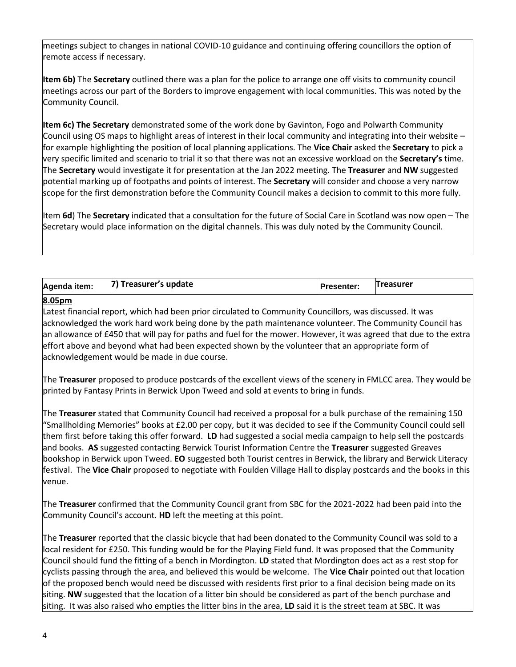meetings subject to changes in national COVID-10 guidance and continuing offering councillors the option of remote access if necessary.

**Item 6b)** The **Secretary** outlined there was a plan for the police to arrange one off visits to community council meetings across our part of the Borders to improve engagement with local communities. This was noted by the Community Council.

**Item 6c) The Secretary** demonstrated some of the work done by Gavinton, Fogo and Polwarth Community Council using OS maps to highlight areas of interest in their local community and integrating into their website – for example highlighting the position of local planning applications. The **Vice Chair** asked the **Secretary** to pick a very specific limited and scenario to trial it so that there was not an excessive workload on the **Secretary's** time. The **Secretary** would investigate it for presentation at the Jan 2022 meeting. The **Treasurer** and **NW** suggested potential marking up of footpaths and points of interest. The **Secretary** will consider and choose a very narrow scope for the first demonstration before the Community Council makes a decision to commit to this more fully.

Item **6d**) The **Secretary** indicated that a consultation for the future of Social Care in Scotland was now open – The Secretary would place information on the digital channels. This was duly noted by the Community Council.

| Agenda item: | 7) Treasurer's update | <b>Presenter:</b> | <b>Treasurer</b> |
|--------------|-----------------------|-------------------|------------------|
| $P^{\prime}$ |                       |                   |                  |

#### **8.05pm**

Latest financial report, which had been prior circulated to Community Councillors, was discussed. It was acknowledged the work hard work being done by the path maintenance volunteer. The Community Council has an allowance of £450 that will pay for paths and fuel for the mower. However, it was agreed that due to the extra effort above and beyond what had been expected shown by the volunteer that an appropriate form of acknowledgement would be made in due course.

The **Treasurer** proposed to produce postcards of the excellent views of the scenery in FMLCC area. They would be printed by Fantasy Prints in Berwick Upon Tweed and sold at events to bring in funds.

The **Treasurer** stated that Community Council had received a proposal for a bulk purchase of the remaining 150 "Smallholding Memories" books at £2.00 per copy, but it was decided to see if the Community Council could sell them first before taking this offer forward. **LD** had suggested a social media campaign to help sell the postcards and books. **AS** suggested contacting Berwick Tourist Information Centre the **Treasurer** suggested Greaves bookshop in Berwick upon Tweed. **EO** suggested both Tourist centres in Berwick, the library and Berwick Literacy festival. The **Vice Chair** proposed to negotiate with Foulden Village Hall to display postcards and the books in this venue.

The **Treasurer** confirmed that the Community Council grant from SBC for the 2021-2022 had been paid into the Community Council's account. **HD** left the meeting at this point.

The **Treasurer** reported that the classic bicycle that had been donated to the Community Council was sold to a local resident for £250. This funding would be for the Playing Field fund. It was proposed that the Community Council should fund the fitting of a bench in Mordington. **LD** stated that Mordington does act as a rest stop for cyclists passing through the area, and believed this would be welcome. The **Vice Chair** pointed out that location of the proposed bench would need be discussed with residents first prior to a final decision being made on its siting. **NW** suggested that the location of a litter bin should be considered as part of the bench purchase and siting. It was also raised who empties the litter bins in the area, **LD** said it is the street team at SBC. It was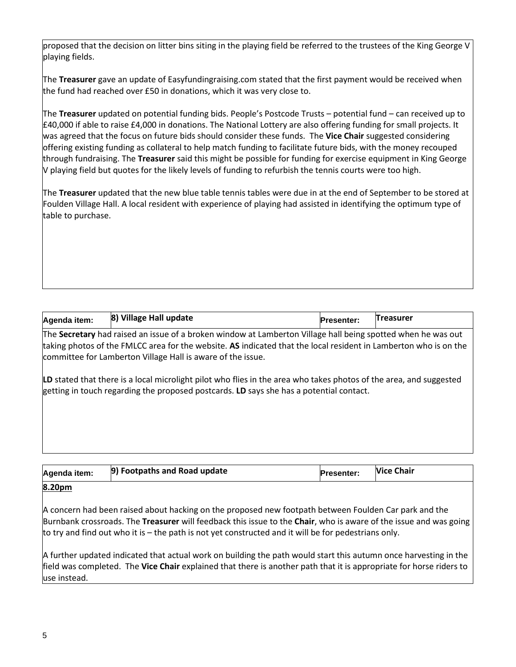proposed that the decision on litter bins siting in the playing field be referred to the trustees of the King George V playing fields.

The **Treasurer** gave an update of Easyfundingraising.com stated that the first payment would be received when the fund had reached over £50 in donations, which it was very close to.

The **Treasurer** updated on potential funding bids. People's Postcode Trusts – potential fund – can received up to £40,000 if able to raise £4,000 in donations. The National Lottery are also offering funding for small projects. It was agreed that the focus on future bids should consider these funds. The **Vice Chair** suggested considering offering existing funding as collateral to help match funding to facilitate future bids, with the money recouped through fundraising. The **Treasurer** said this might be possible for funding for exercise equipment in King George V playing field but quotes for the likely levels of funding to refurbish the tennis courts were too high.

The **Treasurer** updated that the new blue table tennis tables were due in at the end of September to be stored at Foulden Village Hall. A local resident with experience of playing had assisted in identifying the optimum type of table to purchase.

| Agenda item:                                                                                                  | 8) Village Hall update | <b>Presenter:</b> | <b>Treasurer</b> |
|---------------------------------------------------------------------------------------------------------------|------------------------|-------------------|------------------|
| hnia Account a baile tha bha ann an Aobhaile ann an Leabhain an Air Bha a baile tha ann an Bhaile ann an Aona |                        |                   |                  |

The **Secretary** had raised an issue of a broken window at Lamberton Village hall being spotted when he was out taking photos of the FMLCC area for the website. **AS** indicated that the local resident in Lamberton who is on the committee for Lamberton Village Hall is aware of the issue.

**LD** stated that there is a local microlight pilot who flies in the area who takes photos of the area, and suggested getting in touch regarding the proposed postcards. **LD** says she has a potential contact.

| Agenda item: | 9) Footpaths and Road update | <b>Presenter:</b> | <b>Vice Chair</b> |
|--------------|------------------------------|-------------------|-------------------|
| 8.20pm       |                              |                   |                   |

A concern had been raised about hacking on the proposed new footpath between Foulden Car park and the Burnbank crossroads. The **Treasurer** will feedback this issue to the **Chair**, who is aware of the issue and was going to try and find out who it is – the path is not yet constructed and it will be for pedestrians only.

A further updated indicated that actual work on building the path would start this autumn once harvesting in the field was completed. The **Vice Chair** explained that there is another path that it is appropriate for horse riders to use instead.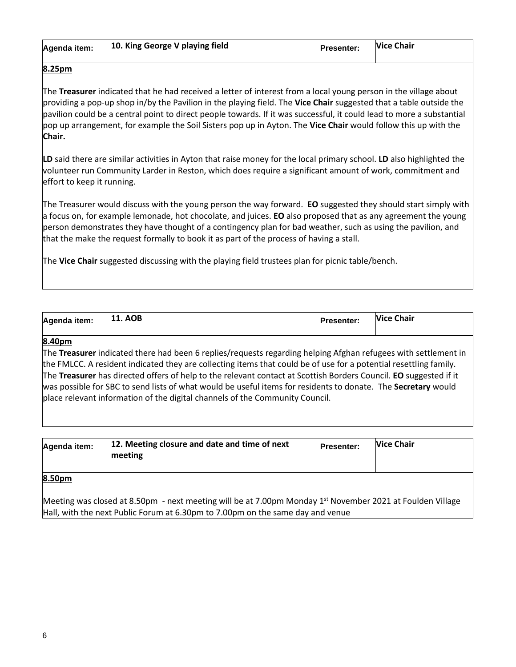| Agenda item: | 10. King George V playing field | <b>Presenter:</b> | <b>Vice Chair</b> |
|--------------|---------------------------------|-------------------|-------------------|
|              |                                 |                   |                   |

## **8.25pm**

The **Treasurer** indicated that he had received a letter of interest from a local young person in the village about providing a pop-up shop in/by the Pavilion in the playing field. The **Vice Chair** suggested that a table outside the pavilion could be a central point to direct people towards. If it was successful, it could lead to more a substantial pop up arrangement, for example the Soil Sisters pop up in Ayton. The **Vice Chair** would follow this up with the **Chair.**

**LD** said there are similar activities in Ayton that raise money for the local primary school. **LD** also highlighted the volunteer run Community Larder in Reston, which does require a significant amount of work, commitment and effort to keep it running.

The Treasurer would discuss with the young person the way forward. **EO** suggested they should start simply with a focus on, for example lemonade, hot chocolate, and juices. **EO** also proposed that as any agreement the young person demonstrates they have thought of a contingency plan for bad weather, such as using the pavilion, and that the make the request formally to book it as part of the process of having a stall.

The **Vice Chair** suggested discussing with the playing field trustees plan for picnic table/bench.

| Agenda item: | <b>11. AOB</b> | <b>Presenter:</b> | <b>Vice Chair</b> |
|--------------|----------------|-------------------|-------------------|
|--------------|----------------|-------------------|-------------------|

#### **8.40pm**

The **Treasurer** indicated there had been 6 replies/requests regarding helping Afghan refugees with settlement in the FMLCC. A resident indicated they are collecting items that could be of use for a potential resettling family. The **Treasurer** has directed offers of help to the relevant contact at Scottish Borders Council. **EO** suggested if it was possible for SBC to send lists of what would be useful items for residents to donate. The **Secretary** would place relevant information of the digital channels of the Community Council.

| Agenda item: | 12. Meeting closure and date and time of next<br>meeting | <b>Presenter:</b> | <b>Nice Chair</b> |
|--------------|----------------------------------------------------------|-------------------|-------------------|
| 8.50pm       |                                                          |                   |                   |

Meeting was closed at 8.50pm - next meeting will be at 7.00pm Monday  $1<sup>st</sup>$  November 2021 at Foulden Village Hall, with the next Public Forum at 6.30pm to 7.00pm on the same day and venue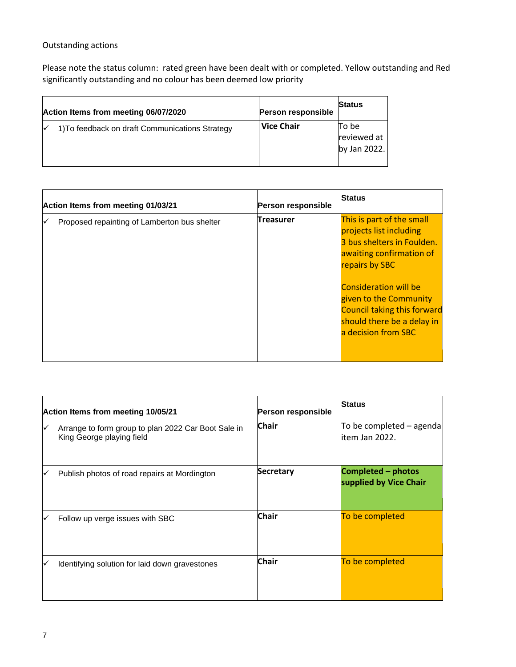## Outstanding actions

Please note the status column: rated green have been dealt with or completed. Yellow outstanding and Red significantly outstanding and no colour has been deemed low priority

| Action Items from meeting 06/07/2020            | <b>Person responsible</b> | <b>Status</b>                        |
|-------------------------------------------------|---------------------------|--------------------------------------|
| 1) To feedback on draft Communications Strategy | l Vice Chair              | To be<br>reviewed at<br>by Jan 2022. |

| Action Items from meeting 01/03/21 |                                              | Person responsible | <b>Status</b>                                                                                                                                                                                                                                                                         |
|------------------------------------|----------------------------------------------|--------------------|---------------------------------------------------------------------------------------------------------------------------------------------------------------------------------------------------------------------------------------------------------------------------------------|
|                                    | Proposed repainting of Lamberton bus shelter | Treasurer          | This is part of the small<br>projects list including<br>3 bus shelters in Foulden.<br>awaiting confirmation of<br>repairs by SBC<br><b>Consideration will be</b><br>given to the Community<br><b>Council taking this forward</b><br>should there be a delay in<br>a decision from SBC |

| Action Items from meeting 10/05/21 |                                                                                  | Person responsible | <b>Status</b>                                |
|------------------------------------|----------------------------------------------------------------------------------|--------------------|----------------------------------------------|
| ✓                                  | Arrange to form group to plan 2022 Car Boot Sale in<br>King George playing field | <b>Chair</b>       | To be completed - agenda<br>item Jan 2022.   |
| ✓                                  | Publish photos of road repairs at Mordington                                     | <b>Secretary</b>   | Completed – photos<br>supplied by Vice Chair |
| ∨                                  | Follow up verge issues with SBC                                                  | <b>Chair</b>       | To be completed                              |
| ✓                                  | Identifying solution for laid down gravestones                                   | <b>Chair</b>       | To be completed                              |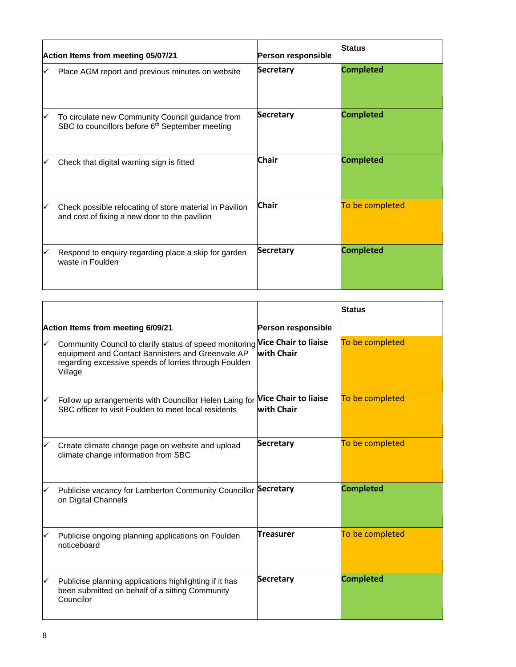| Action Items from meeting 05/07/21 |                                                                                                                 | Person responsible | <b>Status</b>    |
|------------------------------------|-----------------------------------------------------------------------------------------------------------------|--------------------|------------------|
|                                    | Place AGM report and previous minutes on website                                                                | Secretary          | <b>Completed</b> |
|                                    | To circulate new Community Council guidance from<br>SBC to councillors before 6 <sup>th</sup> September meeting | <b>Secretary</b>   | <b>Completed</b> |
|                                    | Check that digital warning sign is fitted                                                                       | <b>Chair</b>       | <b>Completed</b> |
|                                    | Check possible relocating of store material in Pavilion<br>and cost of fixing a new door to the pavilion        | <b>Chair</b>       | To be completed  |
|                                    | Respond to enquiry regarding place a skip for garden<br>waste in Foulden                                        | <b>Secretary</b>   | <b>Completed</b> |

|                                   |                                                                                                                                                                                                       |                                           | <b>Status</b>    |
|-----------------------------------|-------------------------------------------------------------------------------------------------------------------------------------------------------------------------------------------------------|-------------------------------------------|------------------|
| Action Items from meeting 6/09/21 |                                                                                                                                                                                                       | Person responsible                        |                  |
| ✓                                 | Community Council to clarify status of speed monitoring Vice Chair to liaise<br>equipment and Contact Bannisters and Greenvale AP<br>regarding excessive speeds of lorries through Foulden<br>Village | with Chair                                | To be completed  |
| ✓                                 | Follow up arrangements with Councillor Helen Laing for<br>SBC officer to visit Foulden to meet local residents                                                                                        | <b>Vice Chair to liaise</b><br>with Chair | To be completed  |
| ✓                                 | Create climate change page on website and upload<br>climate change information from SBC                                                                                                               | <b>Secretary</b>                          | To be completed  |
| ✓                                 | Publicise vacancy for Lamberton Community Councillor<br>on Digital Channels                                                                                                                           | <b>Secretary</b>                          | <b>Completed</b> |
| ✓                                 | Publicise ongoing planning applications on Foulden<br>noticeboard                                                                                                                                     | Treasurer                                 | To be completed  |
| ✓                                 | Publicise planning applications highlighting if it has<br>been submitted on behalf of a sitting Community<br>Councilor                                                                                | <b>Secretary</b>                          | <b>Completed</b> |